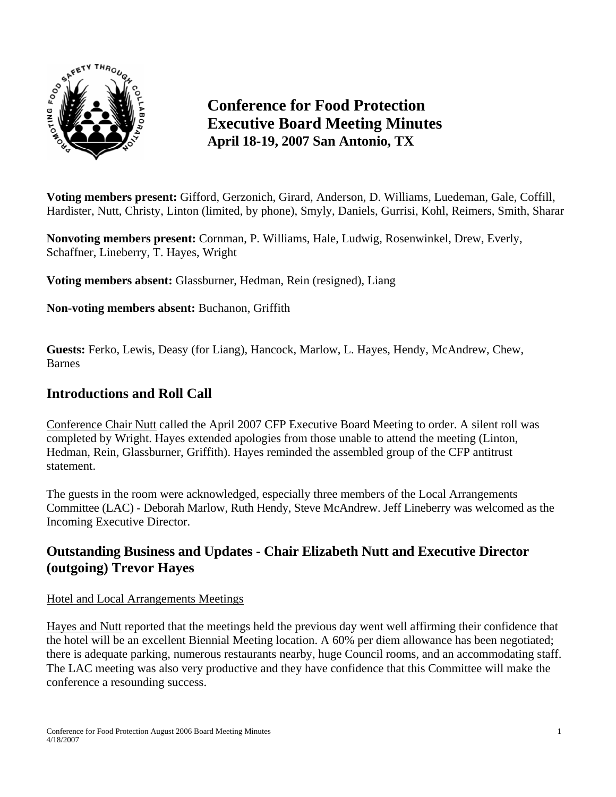

# **Conference for Food Protection Executive Board Meeting Minutes April 18-19, 2007 San Antonio, TX**

**Voting members present:** Gifford, Gerzonich, Girard, Anderson, D. Williams, Luedeman, Gale, Coffill, Hardister, Nutt, Christy, Linton (limited, by phone), Smyly, Daniels, Gurrisi, Kohl, Reimers, Smith, Sharar

**Nonvoting members present:** Cornman, P. Williams, Hale, Ludwig, Rosenwinkel, Drew, Everly, Schaffner, Lineberry, T. Hayes, Wright

**Voting members absent:** Glassburner, Hedman, Rein (resigned), Liang

**Non-voting members absent:** Buchanon, Griffith

**Guests:** Ferko, Lewis, Deasy (for Liang), Hancock, Marlow, L. Hayes, Hendy, McAndrew, Chew, Barnes

## **Introductions and Roll Call**

Conference Chair Nutt called the April 2007 CFP Executive Board Meeting to order. A silent roll was completed by Wright. Hayes extended apologies from those unable to attend the meeting (Linton, Hedman, Rein, Glassburner, Griffith). Hayes reminded the assembled group of the CFP antitrust statement.

The guests in the room were acknowledged, especially three members of the Local Arrangements Committee (LAC) - Deborah Marlow, Ruth Hendy, Steve McAndrew. Jeff Lineberry was welcomed as the Incoming Executive Director.

# **Outstanding Business and Updates - Chair Elizabeth Nutt and Executive Director (outgoing) Trevor Hayes**

#### Hotel and Local Arrangements Meetings

Hayes and Nutt reported that the meetings held the previous day went well affirming their confidence that the hotel will be an excellent Biennial Meeting location. A 60% per diem allowance has been negotiated; there is adequate parking, numerous restaurants nearby, huge Council rooms, and an accommodating staff. The LAC meeting was also very productive and they have confidence that this Committee will make the conference a resounding success.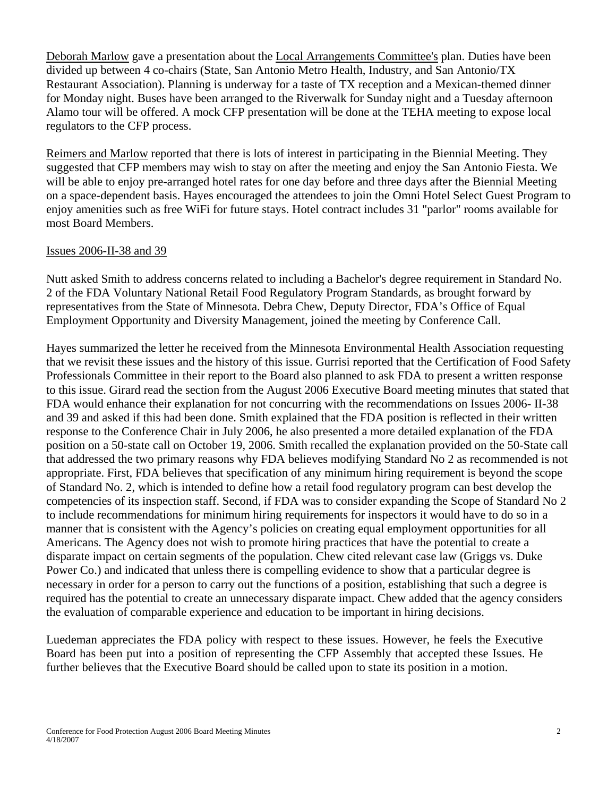Deborah Marlow gave a presentation about the Local Arrangements Committee's plan. Duties have been divided up between 4 co-chairs (State, San Antonio Metro Health, Industry, and San Antonio/TX Restaurant Association). Planning is underway for a taste of TX reception and a Mexican-themed dinner for Monday night. Buses have been arranged to the Riverwalk for Sunday night and a Tuesday afternoon Alamo tour will be offered. A mock CFP presentation will be done at the TEHA meeting to expose local regulators to the CFP process.

Reimers and Marlow reported that there is lots of interest in participating in the Biennial Meeting. They suggested that CFP members may wish to stay on after the meeting and enjoy the San Antonio Fiesta. We will be able to enjoy pre-arranged hotel rates for one day before and three days after the Biennial Meeting on a space-dependent basis. Hayes encouraged the attendees to join the Omni Hotel Select Guest Program to enjoy amenities such as free WiFi for future stays. Hotel contract includes 31 "parlor" rooms available for most Board Members.

#### Issues 2006-II-38 and 39

Nutt asked Smith to address concerns related to including a Bachelor's degree requirement in Standard No. 2 of the FDA Voluntary National Retail Food Regulatory Program Standards, as brought forward by representatives from the State of Minnesota. Debra Chew, Deputy Director, FDA's Office of Equal Employment Opportunity and Diversity Management, joined the meeting by Conference Call.

Hayes summarized the letter he received from the Minnesota Environmental Health Association requesting that we revisit these issues and the history of this issue. Gurrisi reported that the Certification of Food Safety Professionals Committee in their report to the Board also planned to ask FDA to present a written response to this issue. Girard read the section from the August 2006 Executive Board meeting minutes that stated that FDA would enhance their explanation for not concurring with the recommendations on Issues 2006- II-38 and 39 and asked if this had been done. Smith explained that the FDA position is reflected in their written response to the Conference Chair in July 2006, he also presented a more detailed explanation of the FDA position on a 50-state call on October 19, 2006. Smith recalled the explanation provided on the 50-State call that addressed the two primary reasons why FDA believes modifying Standard No 2 as recommended is not appropriate. First, FDA believes that specification of any minimum hiring requirement is beyond the scope of Standard No. 2, which is intended to define how a retail food regulatory program can best develop the competencies of its inspection staff. Second, if FDA was to consider expanding the Scope of Standard No 2 to include recommendations for minimum hiring requirements for inspectors it would have to do so in a manner that is consistent with the Agency's policies on creating equal employment opportunities for all Americans. The Agency does not wish to promote hiring practices that have the potential to create a disparate impact on certain segments of the population. Chew cited relevant case law (Griggs vs. Duke Power Co.) and indicated that unless there is compelling evidence to show that a particular degree is necessary in order for a person to carry out the functions of a position, establishing that such a degree is required has the potential to create an unnecessary disparate impact. Chew added that the agency considers the evaluation of comparable experience and education to be important in hiring decisions.

Luedeman appreciates the FDA policy with respect to these issues. However, he feels the Executive Board has been put into a position of representing the CFP Assembly that accepted these Issues. He further believes that the Executive Board should be called upon to state its position in a motion.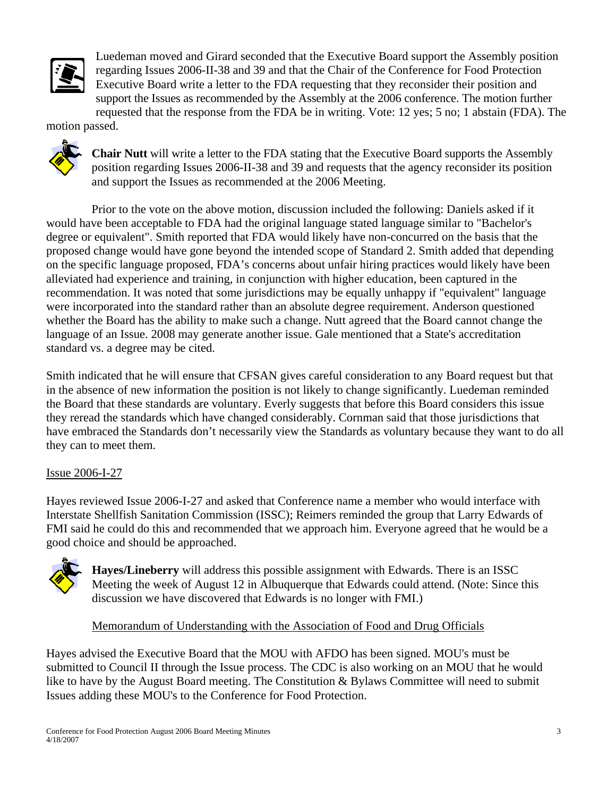

Luedeman moved and Girard seconded that the Executive Board support the Assembly position regarding Issues 2006-II-38 and 39 and that the Chair of the Conference for Food Protection Executive Board write a letter to the FDA requesting that they reconsider their position and support the Issues as recommended by the Assembly at the 2006 conference. The motion further requested that the response from the FDA be in writing. Vote: 12 yes; 5 no; 1 abstain (FDA). The

motion passed.



**Chair Nutt** will write a letter to the FDA stating that the Executive Board supports the Assembly position regarding Issues 2006-II-38 and 39 and requests that the agency reconsider its position and support the Issues as recommended at the 2006 Meeting.

Prior to the vote on the above motion, discussion included the following: Daniels asked if it would have been acceptable to FDA had the original language stated language similar to "Bachelor's degree or equivalent". Smith reported that FDA would likely have non-concurred on the basis that the proposed change would have gone beyond the intended scope of Standard 2. Smith added that depending on the specific language proposed, FDA's concerns about unfair hiring practices would likely have been alleviated had experience and training, in conjunction with higher education, been captured in the recommendation. It was noted that some jurisdictions may be equally unhappy if "equivalent" language were incorporated into the standard rather than an absolute degree requirement. Anderson questioned whether the Board has the ability to make such a change. Nutt agreed that the Board cannot change the language of an Issue. 2008 may generate another issue. Gale mentioned that a State's accreditation standard vs. a degree may be cited.

Smith indicated that he will ensure that CFSAN gives careful consideration to any Board request but that in the absence of new information the position is not likely to change significantly. Luedeman reminded the Board that these standards are voluntary. Everly suggests that before this Board considers this issue they reread the standards which have changed considerably. Cornman said that those jurisdictions that have embraced the Standards don't necessarily view the Standards as voluntary because they want to do all they can to meet them.

### Issue 2006-I-27

Hayes reviewed Issue 2006-I-27 and asked that Conference name a member who would interface with Interstate Shellfish Sanitation Commission (ISSC); Reimers reminded the group that Larry Edwards of FMI said he could do this and recommended that we approach him. Everyone agreed that he would be a good choice and should be approached.



**Hayes/Lineberry** will address this possible assignment with Edwards. There is an ISSC Meeting the week of August 12 in Albuquerque that Edwards could attend. (Note: Since this discussion we have discovered that Edwards is no longer with FMI.)

#### Memorandum of Understanding with the Association of Food and Drug Officials

Hayes advised the Executive Board that the MOU with AFDO has been signed. MOU's must be submitted to Council II through the Issue process. The CDC is also working on an MOU that he would like to have by the August Board meeting. The Constitution & Bylaws Committee will need to submit Issues adding these MOU's to the Conference for Food Protection.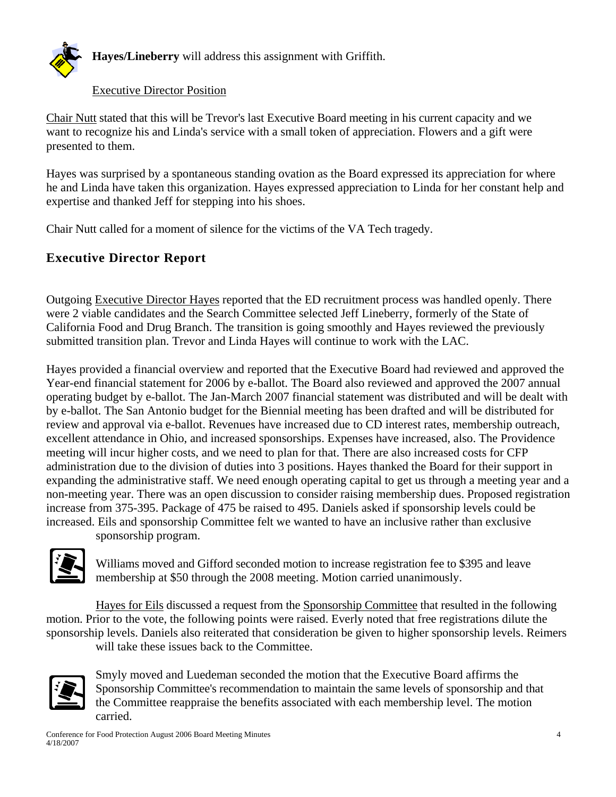

### Executive Director Position

Chair Nutt stated that this will be Trevor's last Executive Board meeting in his current capacity and we want to recognize his and Linda's service with a small token of appreciation. Flowers and a gift were presented to them.

Hayes was surprised by a spontaneous standing ovation as the Board expressed its appreciation for where he and Linda have taken this organization. Hayes expressed appreciation to Linda for her constant help and expertise and thanked Jeff for stepping into his shoes.

Chair Nutt called for a moment of silence for the victims of the VA Tech tragedy.

# **Executive Director Report**

Outgoing Executive Director Hayes reported that the ED recruitment process was handled openly. There were 2 viable candidates and the Search Committee selected Jeff Lineberry, formerly of the State of California Food and Drug Branch. The transition is going smoothly and Hayes reviewed the previously submitted transition plan. Trevor and Linda Hayes will continue to work with the LAC.

Hayes provided a financial overview and reported that the Executive Board had reviewed and approved the Year-end financial statement for 2006 by e-ballot. The Board also reviewed and approved the 2007 annual operating budget by e-ballot. The Jan-March 2007 financial statement was distributed and will be dealt with by e-ballot. The San Antonio budget for the Biennial meeting has been drafted and will be distributed for review and approval via e-ballot. Revenues have increased due to CD interest rates, membership outreach, excellent attendance in Ohio, and increased sponsorships. Expenses have increased, also. The Providence meeting will incur higher costs, and we need to plan for that. There are also increased costs for CFP administration due to the division of duties into 3 positions. Hayes thanked the Board for their support in expanding the administrative staff. We need enough operating capital to get us through a meeting year and a non-meeting year. There was an open discussion to consider raising membership dues. Proposed registration increase from 375-395. Package of 475 be raised to 495. Daniels asked if sponsorship levels could be increased. Eils and sponsorship Committee felt we wanted to have an inclusive rather than exclusive sponsorship program.



Williams moved and Gifford seconded motion to increase registration fee to \$395 and leave membership at \$50 through the 2008 meeting. Motion carried unanimously.

Hayes for Eils discussed a request from the Sponsorship Committee that resulted in the following motion. Prior to the vote, the following points were raised. Everly noted that free registrations dilute the sponsorship levels. Daniels also reiterated that consideration be given to higher sponsorship levels. Reimers will take these issues back to the Committee.



Smyly moved and Luedeman seconded the motion that the Executive Board affirms the Sponsorship Committee's recommendation to maintain the same levels of sponsorship and that the Committee reappraise the benefits associated with each membership level. The motion carried.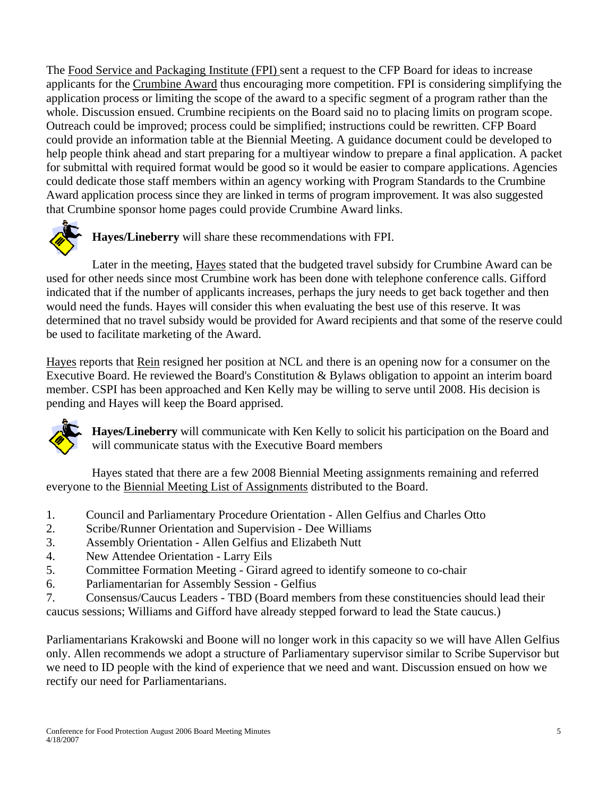The Food Service and Packaging Institute (FPI) sent a request to the CFP Board for ideas to increase applicants for the Crumbine Award thus encouraging more competition. FPI is considering simplifying the application process or limiting the scope of the award to a specific segment of a program rather than the whole. Discussion ensued. Crumbine recipients on the Board said no to placing limits on program scope. Outreach could be improved; process could be simplified; instructions could be rewritten. CFP Board could provide an information table at the Biennial Meeting. A guidance document could be developed to help people think ahead and start preparing for a multiyear window to prepare a final application. A packet for submittal with required format would be good so it would be easier to compare applications. Agencies could dedicate those staff members within an agency working with Program Standards to the Crumbine Award application process since they are linked in terms of program improvement. It was also suggested that Crumbine sponsor home pages could provide Crumbine Award links.



**Hayes/Lineberry** will share these recommendations with FPI.

Later in the meeting, Hayes stated that the budgeted travel subsidy for Crumbine Award can be used for other needs since most Crumbine work has been done with telephone conference calls. Gifford indicated that if the number of applicants increases, perhaps the jury needs to get back together and then would need the funds. Hayes will consider this when evaluating the best use of this reserve. It was determined that no travel subsidy would be provided for Award recipients and that some of the reserve could be used to facilitate marketing of the Award.

Hayes reports that Rein resigned her position at NCL and there is an opening now for a consumer on the Executive Board. He reviewed the Board's Constitution & Bylaws obligation to appoint an interim board member. CSPI has been approached and Ken Kelly may be willing to serve until 2008. His decision is pending and Hayes will keep the Board apprised.



**Hayes/Lineberry** will communicate with Ken Kelly to solicit his participation on the Board and will communicate status with the Executive Board members

Hayes stated that there are a few 2008 Biennial Meeting assignments remaining and referred everyone to the Biennial Meeting List of Assignments distributed to the Board.

- 1. Council and Parliamentary Procedure Orientation Allen Gelfius and Charles Otto
- 2. Scribe/Runner Orientation and Supervision Dee Williams
- 3. Assembly Orientation Allen Gelfius and Elizabeth Nutt
- 4. New Attendee Orientation Larry Eils
- 5. Committee Formation Meeting Girard agreed to identify someone to co-chair
- 6. Parliamentarian for Assembly Session Gelfius
- 7. Consensus/Caucus Leaders TBD (Board members from these constituencies should lead their caucus sessions; Williams and Gifford have already stepped forward to lead the State caucus.)

Parliamentarians Krakowski and Boone will no longer work in this capacity so we will have Allen Gelfius only. Allen recommends we adopt a structure of Parliamentary supervisor similar to Scribe Supervisor but we need to ID people with the kind of experience that we need and want. Discussion ensued on how we rectify our need for Parliamentarians.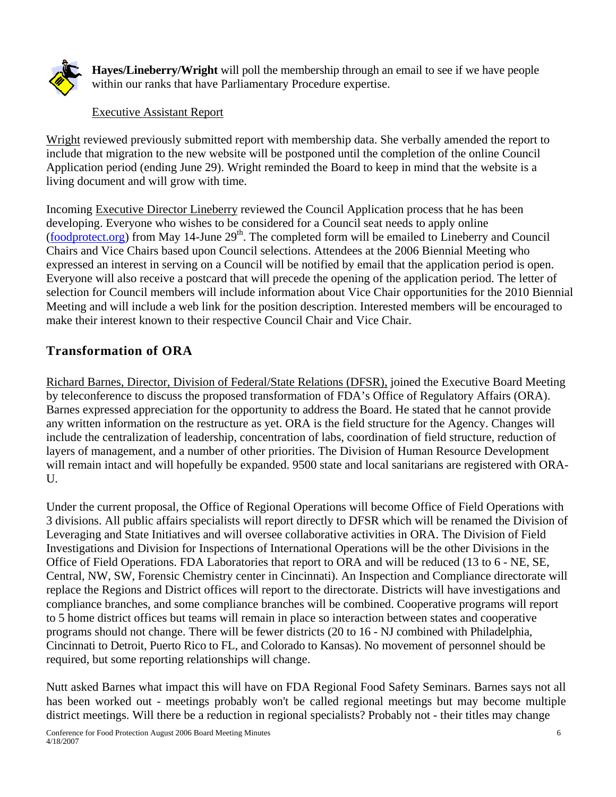

**Hayes/Lineberry/Wright** will poll the membership through an email to see if we have people within our ranks that have Parliamentary Procedure expertise.

### Executive Assistant Report

Wright reviewed previously submitted report with membership data. She verbally amended the report to include that migration to the new website will be postponed until the completion of the online Council Application period (ending June 29). Wright reminded the Board to keep in mind that the website is a living document and will grow with time.

Incoming Executive Director Lineberry reviewed the Council Application process that he has been developing. Everyone who wishes to be considered for a Council seat needs to apply online  $(foodprotect, org)$  from May 14-June  $29<sup>th</sup>$ . The completed form will be emailed to Lineberry and Council Chairs and Vice Chairs based upon Council selections. Attendees at the 2006 Biennial Meeting who expressed an interest in serving on a Council will be notified by email that the application period is open. Everyone will also receive a postcard that will precede the opening of the application period. The letter of selection for Council members will include information about Vice Chair opportunities for the 2010 Biennial Meeting and will include a web link for the position description. Interested members will be encouraged to make their interest known to their respective Council Chair and Vice Chair.

# **Transformation of ORA**

Richard Barnes, Director, Division of Federal/State Relations (DFSR), joined the Executive Board Meeting by teleconference to discuss the proposed transformation of FDA's Office of Regulatory Affairs (ORA). Barnes expressed appreciation for the opportunity to address the Board. He stated that he cannot provide any written information on the restructure as yet. ORA is the field structure for the Agency. Changes will include the centralization of leadership, concentration of labs, coordination of field structure, reduction of layers of management, and a number of other priorities. The Division of Human Resource Development will remain intact and will hopefully be expanded. 9500 state and local sanitarians are registered with ORA- $U$ .

Under the current proposal, the Office of Regional Operations will become Office of Field Operations with 3 divisions. All public affairs specialists will report directly to DFSR which will be renamed the Division of Leveraging and State Initiatives and will oversee collaborative activities in ORA. The Division of Field Investigations and Division for Inspections of International Operations will be the other Divisions in the Office of Field Operations. FDA Laboratories that report to ORA and will be reduced (13 to 6 - NE, SE, Central, NW, SW, Forensic Chemistry center in Cincinnati). An Inspection and Compliance directorate will replace the Regions and District offices will report to the directorate. Districts will have investigations and compliance branches, and some compliance branches will be combined. Cooperative programs will report to 5 home district offices but teams will remain in place so interaction between states and cooperative programs should not change. There will be fewer districts (20 to 16 - NJ combined with Philadelphia, Cincinnati to Detroit, Puerto Rico to FL, and Colorado to Kansas). No movement of personnel should be required, but some reporting relationships will change.

Nutt asked Barnes what impact this will have on FDA Regional Food Safety Seminars. Barnes says not all has been worked out - meetings probably won't be called regional meetings but may become multiple district meetings. Will there be a reduction in regional specialists? Probably not - their titles may change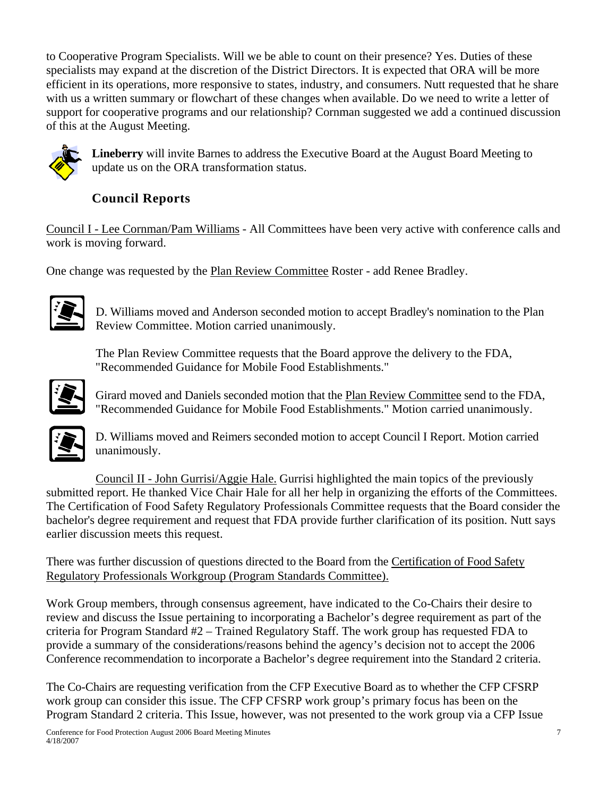to Cooperative Program Specialists. Will we be able to count on their presence? Yes. Duties of these specialists may expand at the discretion of the District Directors. It is expected that ORA will be more efficient in its operations, more responsive to states, industry, and consumers. Nutt requested that he share with us a written summary or flowchart of these changes when available. Do we need to write a letter of support for cooperative programs and our relationship? Cornman suggested we add a continued discussion of this at the August Meeting.



**Lineberry** will invite Barnes to address the Executive Board at the August Board Meeting to update us on the ORA transformation status.

# **Council Reports**

Council I - Lee Cornman/Pam Williams - All Committees have been very active with conference calls and work is moving forward.

One change was requested by the Plan Review Committee Roster - add Renee Bradley.



D. Williams moved and Anderson seconded motion to accept Bradley's nomination to the Plan Review Committee. Motion carried unanimously.

The Plan Review Committee requests that the Board approve the delivery to the FDA, "Recommended Guidance for Mobile Food Establishments."



Girard moved and Daniels seconded motion that the Plan Review Committee send to the FDA, "Recommended Guidance for Mobile Food Establishments." Motion carried unanimously.



D. Williams moved and Reimers seconded motion to accept Council I Report. Motion carried unanimously.

Council II - John Gurrisi/Aggie Hale. Gurrisi highlighted the main topics of the previously submitted report. He thanked Vice Chair Hale for all her help in organizing the efforts of the Committees. The Certification of Food Safety Regulatory Professionals Committee requests that the Board consider the bachelor's degree requirement and request that FDA provide further clarification of its position. Nutt says earlier discussion meets this request.

There was further discussion of questions directed to the Board from the Certification of Food Safety Regulatory Professionals Workgroup (Program Standards Committee).

Work Group members, through consensus agreement, have indicated to the Co-Chairs their desire to review and discuss the Issue pertaining to incorporating a Bachelor's degree requirement as part of the criteria for Program Standard #2 – Trained Regulatory Staff. The work group has requested FDA to provide a summary of the considerations/reasons behind the agency's decision not to accept the 2006 Conference recommendation to incorporate a Bachelor's degree requirement into the Standard 2 criteria.

The Co-Chairs are requesting verification from the CFP Executive Board as to whether the CFP CFSRP work group can consider this issue. The CFP CFSRP work group's primary focus has been on the Program Standard 2 criteria. This Issue, however, was not presented to the work group via a CFP Issue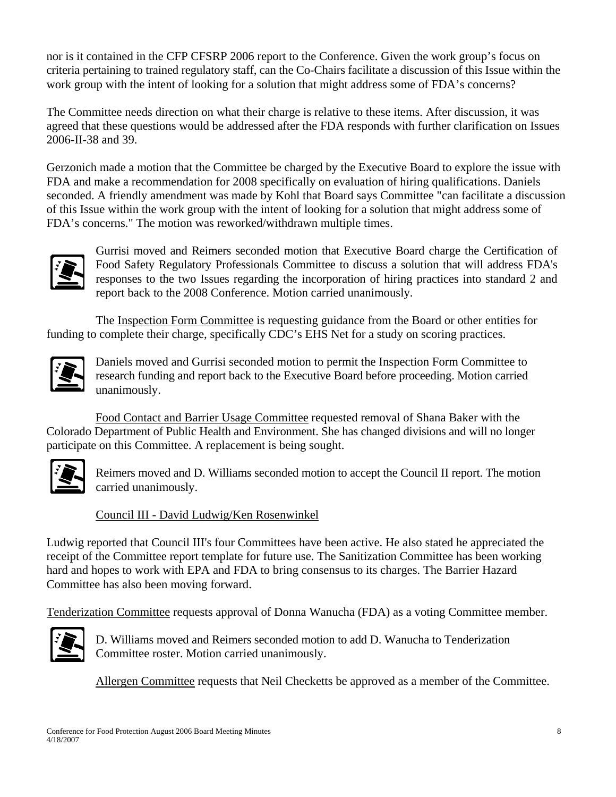nor is it contained in the CFP CFSRP 2006 report to the Conference. Given the work group's focus on criteria pertaining to trained regulatory staff, can the Co-Chairs facilitate a discussion of this Issue within the work group with the intent of looking for a solution that might address some of FDA's concerns?

The Committee needs direction on what their charge is relative to these items. After discussion, it was agreed that these questions would be addressed after the FDA responds with further clarification on Issues 2006-II-38 and 39.

Gerzonich made a motion that the Committee be charged by the Executive Board to explore the issue with FDA and make a recommendation for 2008 specifically on evaluation of hiring qualifications. Daniels seconded. A friendly amendment was made by Kohl that Board says Committee "can facilitate a discussion of this Issue within the work group with the intent of looking for a solution that might address some of FDA's concerns." The motion was reworked/withdrawn multiple times.



Gurrisi moved and Reimers seconded motion that Executive Board charge the Certification of Food Safety Regulatory Professionals Committee to discuss a solution that will address FDA's responses to the two Issues regarding the incorporation of hiring practices into standard 2 and report back to the 2008 Conference. Motion carried unanimously.

The Inspection Form Committee is requesting guidance from the Board or other entities for funding to complete their charge, specifically CDC's EHS Net for a study on scoring practices.



Daniels moved and Gurrisi seconded motion to permit the Inspection Form Committee to research funding and report back to the Executive Board before proceeding. Motion carried unanimously.

Food Contact and Barrier Usage Committee requested removal of Shana Baker with the Colorado Department of Public Health and Environment. She has changed divisions and will no longer participate on this Committee. A replacement is being sought.



Reimers moved and D. Williams seconded motion to accept the Council II report. The motion carried unanimously.

Council III - David Ludwig/Ken Rosenwinkel

Ludwig reported that Council III's four Committees have been active. He also stated he appreciated the receipt of the Committee report template for future use. The Sanitization Committee has been working hard and hopes to work with EPA and FDA to bring consensus to its charges. The Barrier Hazard Committee has also been moving forward.

Tenderization Committee requests approval of Donna Wanucha (FDA) as a voting Committee member.



D. Williams moved and Reimers seconded motion to add D. Wanucha to Tenderization Committee roster. Motion carried unanimously.

Allergen Committee requests that Neil Checketts be approved as a member of the Committee.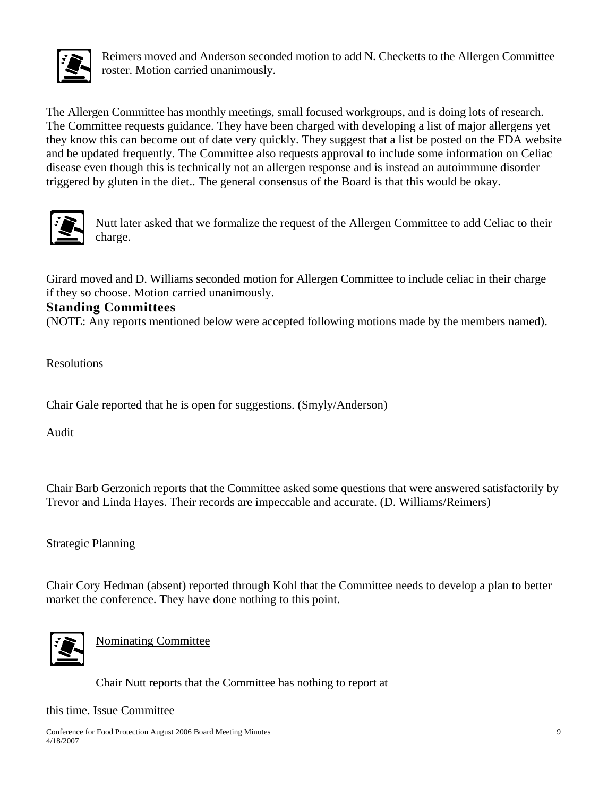

Reimers moved and Anderson seconded motion to add N. Checketts to the Allergen Committee roster. Motion carried unanimously.

The Allergen Committee has monthly meetings, small focused workgroups, and is doing lots of research. The Committee requests guidance. They have been charged with developing a list of major allergens yet they know this can become out of date very quickly. They suggest that a list be posted on the FDA website and be updated frequently. The Committee also requests approval to include some information on Celiac disease even though this is technically not an allergen response and is instead an autoimmune disorder triggered by gluten in the diet.. The general consensus of the Board is that this would be okay.



Nutt later asked that we formalize the request of the Allergen Committee to add Celiac to their charge.

Girard moved and D. Williams seconded motion for Allergen Committee to include celiac in their charge if they so choose. Motion carried unanimously.

### **Standing Committees**

(NOTE: Any reports mentioned below were accepted following motions made by the members named).

Resolutions

Chair Gale reported that he is open for suggestions. (Smyly/Anderson)

Audit

Chair Barb Gerzonich reports that the Committee asked some questions that were answered satisfactorily by Trevor and Linda Hayes. Their records are impeccable and accurate. (D. Williams/Reimers)

### Strategic Planning

Chair Cory Hedman (absent) reported through Kohl that the Committee needs to develop a plan to better market the conference. They have done nothing to this point.



Nominating Committee

Chair Nutt reports that the Committee has nothing to report at

this time. Issue Committee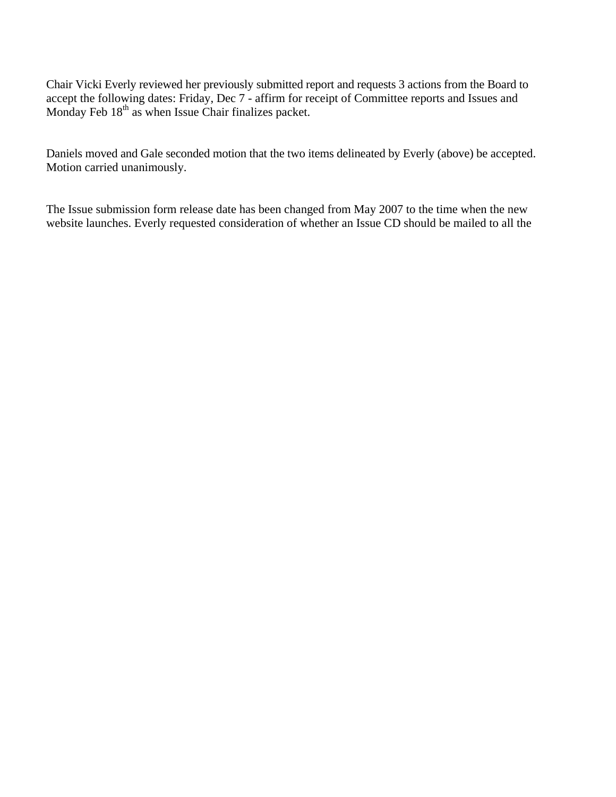Chair Vicki Everly reviewed her previously submitted report and requests 3 actions from the Board to accept the following dates: Friday, Dec 7 - affirm for receipt of Committee reports and Issues and Monday Feb  $18^{th}$  as when Issue Chair finalizes packet.

Daniels moved and Gale seconded motion that the two items delineated by Everly (above) be accepted. Motion carried unanimously.

The Issue submission form release date has been changed from May 2007 to the time when the new website launches. Everly requested consideration of whether an Issue CD should be mailed to all the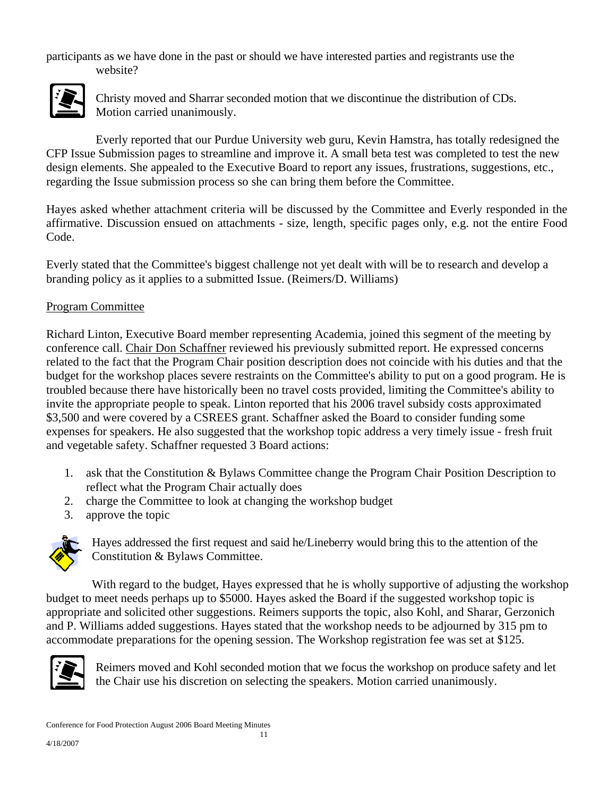participants as we have done in the past or should we have interested parties and registrants use the website?



Christy moved and Sharrar seconded motion that we discontinue the distribution of CDs. Motion carried unanimously.

Everly reported that our Purdue University web guru, Kevin Hamstra, has totally redesigned the CFP Issue Submission pages to streamline and improve it. A small beta test was completed to test the new design elements. She appealed to the Executive Board to report any issues, frustrations, suggestions, etc., regarding the Issue submission process so she can bring them before the Committee.

Hayes asked whether attachment criteria will be discussed by the Committee and Everly responded in the affirmative. Discussion ensued on attachments - size, length, specific pages only, e.g. not the entire Food Code.

Everly stated that the Committee's biggest challenge not yet dealt with will be to research and develop a branding policy as it applies to a submitted Issue. (Reimers/D. Williams)

### Program Committee

Richard Linton, Executive Board member representing Academia, joined this segment of the meeting by conference call. Chair Don Schaffner reviewed his previously submitted report. He expressed concerns related to the fact that the Program Chair position description does not coincide with his duties and that the budget for the workshop places severe restraints on the Committee's ability to put on a good program. He is troubled because there have historically been no travel costs provided, limiting the Committee's ability to invite the appropriate people to speak. Linton reported that his 2006 travel subsidy costs approximated \$3,500 and were covered by a CSREES grant. Schaffner asked the Board to consider funding some expenses for speakers. He also suggested that the workshop topic address a very timely issue - fresh fruit and vegetable safety. Schaffner requested 3 Board actions:

- 1. ask that the Constitution & Bylaws Committee change the Program Chair Position Description to reflect what the Program Chair actually does
- 2. charge the Committee to look at changing the workshop budget
- 3. approve the topic



Hayes addressed the first request and said he/Lineberry would bring this to the attention of the Constitution & Bylaws Committee.

With regard to the budget, Hayes expressed that he is wholly supportive of adjusting the workshop budget to meet needs perhaps up to \$5000. Hayes asked the Board if the suggested workshop topic is appropriate and solicited other suggestions. Reimers supports the topic, also Kohl, and Sharar, Gerzonich and P. Williams added suggestions. Hayes stated that the workshop needs to be adjourned by 315 pm to accommodate preparations for the opening session. The Workshop registration fee was set at \$125.



Reimers moved and Kohl seconded motion that we focus the workshop on produce safety and let the Chair use his discretion on selecting the speakers. Motion carried unanimously.

Conference for Food Protection August 2006 Board Meeting Minutes 11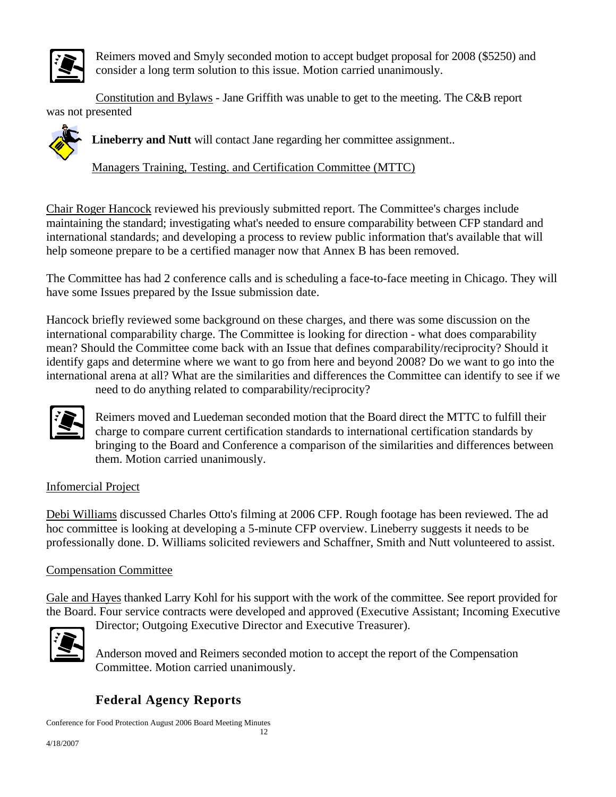

Reimers moved and Smyly seconded motion to accept budget proposal for 2008 (\$5250) and consider a long term solution to this issue. Motion carried unanimously.

Constitution and Bylaws - Jane Griffith was unable to get to the meeting. The C&B report was not presented



**Lineberry and Nutt** will contact Jane regarding her committee assignment..

Managers Training, Testing. and Certification Committee (MTTC)

Chair Roger Hancock reviewed his previously submitted report. The Committee's charges include maintaining the standard; investigating what's needed to ensure comparability between CFP standard and international standards; and developing a process to review public information that's available that will help someone prepare to be a certified manager now that Annex B has been removed.

The Committee has had 2 conference calls and is scheduling a face-to-face meeting in Chicago. They will have some Issues prepared by the Issue submission date.

Hancock briefly reviewed some background on these charges, and there was some discussion on the international comparability charge. The Committee is looking for direction - what does comparability mean? Should the Committee come back with an Issue that defines comparability/reciprocity? Should it identify gaps and determine where we want to go from here and beyond 2008? Do we want to go into the international arena at all? What are the similarities and differences the Committee can identify to see if we

need to do anything related to comparability/reciprocity?



Reimers moved and Luedeman seconded motion that the Board direct the MTTC to fulfill their charge to compare current certification standards to international certification standards by bringing to the Board and Conference a comparison of the similarities and differences between them. Motion carried unanimously.

## Infomercial Project

Debi Williams discussed Charles Otto's filming at 2006 CFP. Rough footage has been reviewed. The ad hoc committee is looking at developing a 5-minute CFP overview. Lineberry suggests it needs to be professionally done. D. Williams solicited reviewers and Schaffner, Smith and Nutt volunteered to assist.

### Compensation Committee

Gale and Hayes thanked Larry Kohl for his support with the work of the committee. See report provided for the Board. Four service contracts were developed and approved (Executive Assistant; Incoming Executive Director; Outgoing Executive Director and Executive Treasurer).



Anderson moved and Reimers seconded motion to accept the report of the Compensation Committee. Motion carried unanimously.

# **Federal Agency Reports**

Conference for Food Protection August 2006 Board Meeting Minutes 12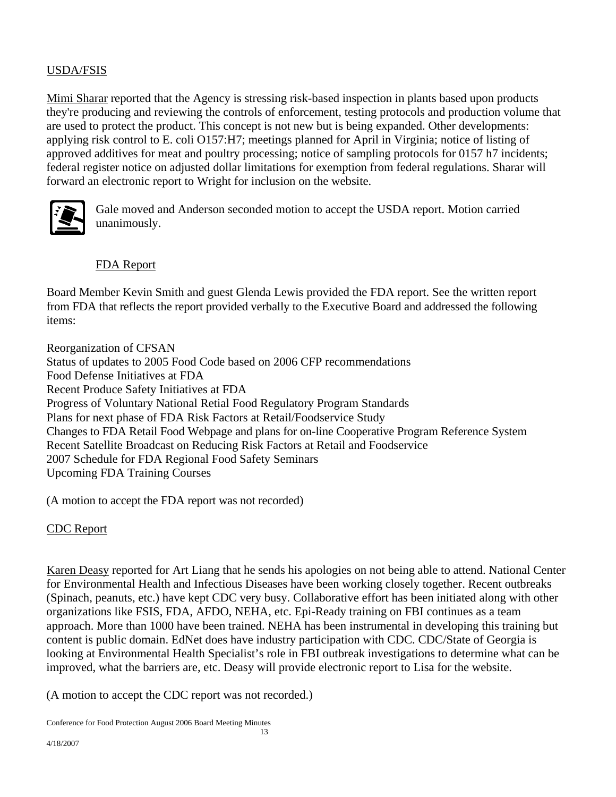## USDA/FSIS

Mimi Sharar reported that the Agency is stressing risk-based inspection in plants based upon products they're producing and reviewing the controls of enforcement, testing protocols and production volume that are used to protect the product. This concept is not new but is being expanded. Other developments: applying risk control to E. coli O157:H7; meetings planned for April in Virginia; notice of listing of approved additives for meat and poultry processing; notice of sampling protocols for 0157 h7 incidents; federal register notice on adjusted dollar limitations for exemption from federal regulations. Sharar will forward an electronic report to Wright for inclusion on the website.



Gale moved and Anderson seconded motion to accept the USDA report. Motion carried unanimously.

### FDA Report

Board Member Kevin Smith and guest Glenda Lewis provided the FDA report. See the written report from FDA that reflects the report provided verbally to the Executive Board and addressed the following items:

Reorganization of CFSAN Status of updates to 2005 Food Code based on 2006 CFP recommendations Food Defense Initiatives at FDA Recent Produce Safety Initiatives at FDA Progress of Voluntary National Retial Food Regulatory Program Standards Plans for next phase of FDA Risk Factors at Retail/Foodservice Study Changes to FDA Retail Food Webpage and plans for on-line Cooperative Program Reference System Recent Satellite Broadcast on Reducing Risk Factors at Retail and Foodservice 2007 Schedule for FDA Regional Food Safety Seminars Upcoming FDA Training Courses

(A motion to accept the FDA report was not recorded)

CDC Report

Karen Deasy reported for Art Liang that he sends his apologies on not being able to attend. National Center for Environmental Health and Infectious Diseases have been working closely together. Recent outbreaks (Spinach, peanuts, etc.) have kept CDC very busy. Collaborative effort has been initiated along with other organizations like FSIS, FDA, AFDO, NEHA, etc. Epi-Ready training on FBI continues as a team approach. More than 1000 have been trained. NEHA has been instrumental in developing this training but content is public domain. EdNet does have industry participation with CDC. CDC/State of Georgia is looking at Environmental Health Specialist's role in FBI outbreak investigations to determine what can be improved, what the barriers are, etc. Deasy will provide electronic report to Lisa for the website.

(A motion to accept the CDC report was not recorded.)

Conference for Food Protection August 2006 Board Meeting Minutes 13